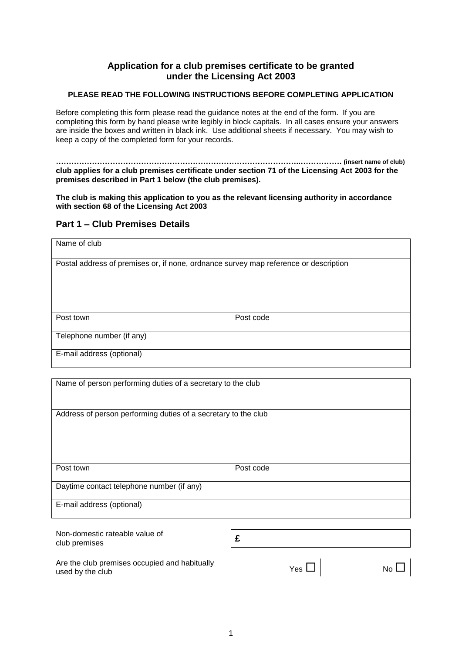### **Application for a club premises certificate to be granted under the Licensing Act 2003**

#### **PLEASE READ THE FOLLOWING INSTRUCTIONS BEFORE COMPLETING APPLICATION**

Before completing this form please read the guidance notes at the end of the form. If you are completing this form by hand please write legibly in block capitals. In all cases ensure your answers are inside the boxes and written in black ink. Use additional sheets if necessary. You may wish to keep a copy of the completed form for your records.

**…………………………………………………………………………………..……………. (insert name of club) club applies for a club premises certificate under section 71 of the Licensing Act 2003 for the premises described in Part 1 below (the club premises).** 

**The club is making this application to you as the relevant licensing authority in accordance with section 68 of the Licensing Act 2003**

#### **Part 1 – Club Premises Details**

| Name of club                                                                         |           |  |  |  |
|--------------------------------------------------------------------------------------|-----------|--|--|--|
| Postal address of premises or, if none, ordnance survey map reference or description |           |  |  |  |
| Post town                                                                            | Post code |  |  |  |
| Telephone number (if any)                                                            |           |  |  |  |
| E-mail address (optional)                                                            |           |  |  |  |

| Name of person performing duties of a secretary to the club    |           |  |  |  |  |  |
|----------------------------------------------------------------|-----------|--|--|--|--|--|
| Address of person performing duties of a secretary to the club |           |  |  |  |  |  |
|                                                                |           |  |  |  |  |  |
| Post town                                                      | Post code |  |  |  |  |  |
|                                                                |           |  |  |  |  |  |
| Daytime contact telephone number (if any)                      |           |  |  |  |  |  |
|                                                                |           |  |  |  |  |  |
| E-mail address (optional)                                      |           |  |  |  |  |  |
|                                                                |           |  |  |  |  |  |
| Non-domestic rateable value of                                 | £         |  |  |  |  |  |
| club premises                                                  |           |  |  |  |  |  |

| Are the club premises occupied and habitually<br>used by the club | Yes $\Box$ 1 | $No$ $\Box$ |
|-------------------------------------------------------------------|--------------|-------------|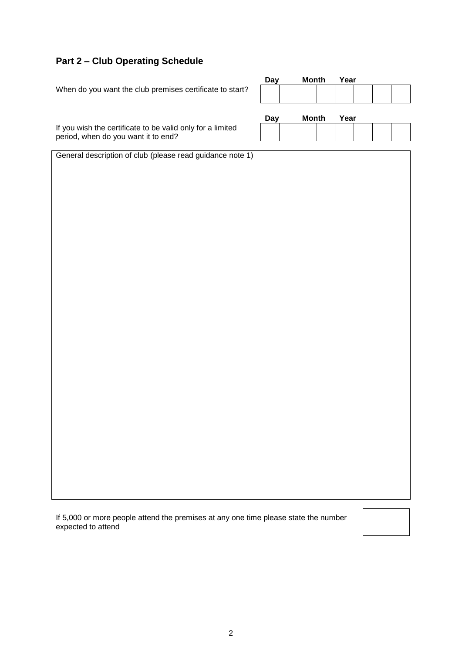### **Part 2 – Club Operating Schedule**

|                                                                                                   | <b>Day</b> | <b>Month</b> | Year |  |
|---------------------------------------------------------------------------------------------------|------------|--------------|------|--|
| When do you want the club premises certificate to start?                                          |            |              |      |  |
|                                                                                                   | <b>Day</b> | <b>Month</b> | Year |  |
| If you wish the certificate to be valid only for a limited<br>period, when do you want it to end? |            |              |      |  |
| General description of club (please read guidance note 1)                                         |            |              |      |  |
|                                                                                                   |            |              |      |  |
|                                                                                                   |            |              |      |  |
|                                                                                                   |            |              |      |  |
|                                                                                                   |            |              |      |  |
|                                                                                                   |            |              |      |  |
|                                                                                                   |            |              |      |  |
|                                                                                                   |            |              |      |  |
|                                                                                                   |            |              |      |  |
|                                                                                                   |            |              |      |  |
|                                                                                                   |            |              |      |  |
|                                                                                                   |            |              |      |  |
|                                                                                                   |            |              |      |  |
|                                                                                                   |            |              |      |  |
|                                                                                                   |            |              |      |  |
|                                                                                                   |            |              |      |  |

If 5,000 or more people attend the premises at any one time please state the number expected to attend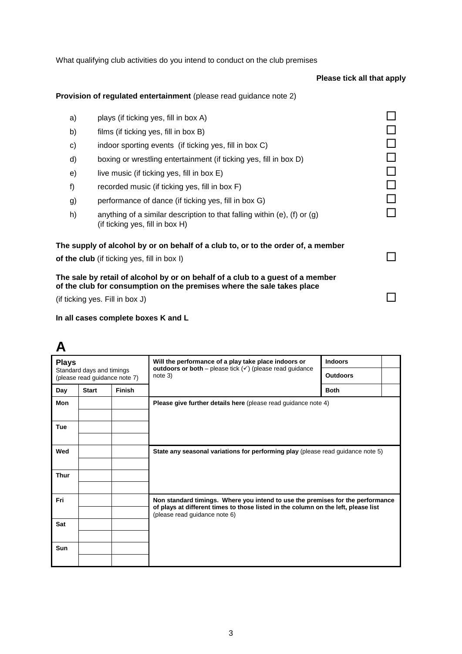What qualifying club activities do you intend to conduct on the club premises

### **Please tick all that apply**

### **Provision of regulated entertainment** (please read guidance note 2)

| a) | plays (if ticking yes, fill in box A)                                                                                                                    |  |
|----|----------------------------------------------------------------------------------------------------------------------------------------------------------|--|
| b) | films (if ticking yes, fill in box B)                                                                                                                    |  |
| c) | indoor sporting events (if ticking yes, fill in box C)                                                                                                   |  |
| d) | boxing or wrestling entertainment (if ticking yes, fill in box D)                                                                                        |  |
| e) | live music (if ticking yes, fill in box E)                                                                                                               |  |
| f) | recorded music (if ticking yes, fill in box F)                                                                                                           |  |
| g) | performance of dance (if ticking yes, fill in box G)                                                                                                     |  |
| h) | anything of a similar description to that falling within (e), (f) or $(g)$<br>(if ticking yes, fill in box $H$ )                                         |  |
|    | The supply of alcohol by or on behalf of a club to, or to the order of, a member<br>of the club (if ticking yes, fill in box I)                          |  |
|    | The sale by retail of alcohol by or on behalf of a club to a guest of a member<br>of the club for consumption on the premises where the sale takes place |  |
|    | (if ticking yes. Fill in box J)                                                                                                                          |  |
|    |                                                                                                                                                          |  |

### **In all cases complete boxes K and L**

### **A**

| <b>Plays</b>                                               |              |               | Will the performance of a play take place indoors or                                                                                                                                                  | <b>Indoors</b>  |  |
|------------------------------------------------------------|--------------|---------------|-------------------------------------------------------------------------------------------------------------------------------------------------------------------------------------------------------|-----------------|--|
| Standard days and timings<br>(please read guidance note 7) |              |               | outdoors or both – please tick $(v)$ (please read guidance<br>note 3)                                                                                                                                 | <b>Outdoors</b> |  |
| Day                                                        | <b>Start</b> | <b>Finish</b> |                                                                                                                                                                                                       | <b>Both</b>     |  |
| Mon                                                        |              |               | Please give further details here (please read guidance note 4)                                                                                                                                        |                 |  |
| <b>Tue</b>                                                 |              |               |                                                                                                                                                                                                       |                 |  |
| Wed                                                        |              |               | State any seasonal variations for performing play (please read guidance note 5)                                                                                                                       |                 |  |
| <b>Thur</b>                                                |              |               |                                                                                                                                                                                                       |                 |  |
| Fri                                                        |              |               | Non standard timings. Where you intend to use the premises for the performance<br>of plays at different times to those listed in the column on the left, please list<br>(please read guidance note 6) |                 |  |
| Sat                                                        |              |               |                                                                                                                                                                                                       |                 |  |
| Sun                                                        |              |               |                                                                                                                                                                                                       |                 |  |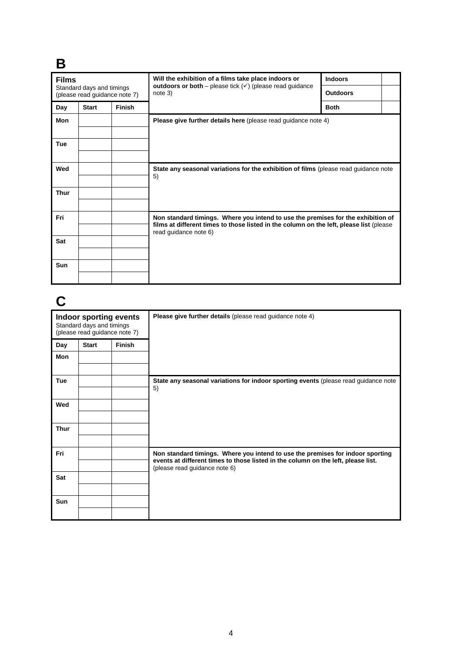# **B**

| <b>Films</b>                                               |              |               | Will the exhibition of a films take place indoors or<br>outdoors or both – please tick $(v)$ (please read guidance<br>note 3)                                                                        | <b>Indoors</b>  |  |
|------------------------------------------------------------|--------------|---------------|------------------------------------------------------------------------------------------------------------------------------------------------------------------------------------------------------|-----------------|--|
| Standard days and timings<br>(please read guidance note 7) |              |               |                                                                                                                                                                                                      | <b>Outdoors</b> |  |
| Day                                                        | <b>Start</b> | <b>Finish</b> |                                                                                                                                                                                                      | <b>Both</b>     |  |
| <b>Mon</b>                                                 |              |               | <b>Please give further details here</b> (please read guidance note 4)                                                                                                                                |                 |  |
| <b>Tue</b>                                                 |              |               |                                                                                                                                                                                                      |                 |  |
| Wed                                                        |              |               | State any seasonal variations for the exhibition of films (please read guidance note<br>5)                                                                                                           |                 |  |
| <b>Thur</b>                                                |              |               |                                                                                                                                                                                                      |                 |  |
| Fri                                                        |              |               | Non standard timings. Where you intend to use the premises for the exhibition of<br>films at different times to those listed in the column on the left, please list (please<br>read guidance note 6) |                 |  |
| Sat                                                        |              |               |                                                                                                                                                                                                      |                 |  |
| Sun                                                        |              |               |                                                                                                                                                                                                      |                 |  |

# **C**

| Indoor sporting events<br>Standard days and timings<br>(please read guidance note 7) |              |               | Please give further details (please read guidance note 4)                                                                                                                                            |
|--------------------------------------------------------------------------------------|--------------|---------------|------------------------------------------------------------------------------------------------------------------------------------------------------------------------------------------------------|
| Day                                                                                  | <b>Start</b> | <b>Finish</b> |                                                                                                                                                                                                      |
| Mon                                                                                  |              |               |                                                                                                                                                                                                      |
| <b>Tue</b>                                                                           |              |               | State any seasonal variations for indoor sporting events (please read guidance note<br>5)                                                                                                            |
| Wed                                                                                  |              |               |                                                                                                                                                                                                      |
| <b>Thur</b>                                                                          |              |               |                                                                                                                                                                                                      |
| Fri                                                                                  |              |               | Non standard timings. Where you intend to use the premises for indoor sporting<br>events at different times to those listed in the column on the left, please list.<br>(please read guidance note 6) |
| Sat                                                                                  |              |               |                                                                                                                                                                                                      |
| Sun                                                                                  |              |               |                                                                                                                                                                                                      |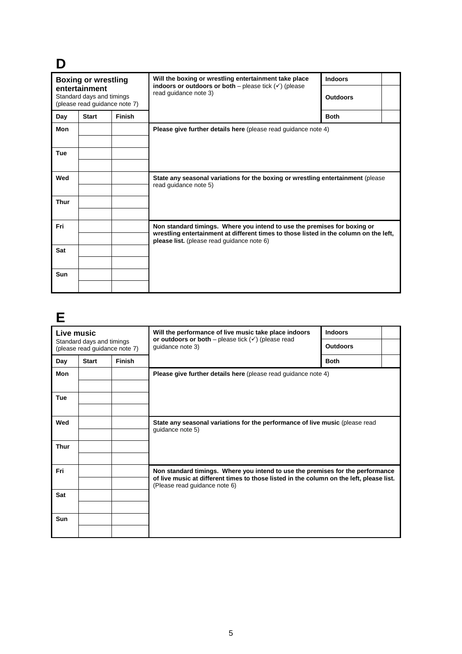# **D**

| <b>Boxing or wrestling</b>                                                  |              |               | Will the boxing or wrestling entertainment take place<br>indoors or outdoors or both – please tick $(\checkmark)$ (please                                                                                       | <b>Indoors</b>  |  |
|-----------------------------------------------------------------------------|--------------|---------------|-----------------------------------------------------------------------------------------------------------------------------------------------------------------------------------------------------------------|-----------------|--|
| entertainment<br>Standard days and timings<br>(please read guidance note 7) |              |               | read guidance note 3)                                                                                                                                                                                           | <b>Outdoors</b> |  |
| Day                                                                         | <b>Start</b> | <b>Finish</b> |                                                                                                                                                                                                                 | <b>Both</b>     |  |
| Mon                                                                         |              |               | Please give further details here (please read guidance note 4)                                                                                                                                                  |                 |  |
| <b>Tue</b>                                                                  |              |               |                                                                                                                                                                                                                 |                 |  |
| Wed                                                                         |              |               | State any seasonal variations for the boxing or wrestling entertainment (please<br>read guidance note 5)                                                                                                        |                 |  |
| <b>Thur</b>                                                                 |              |               |                                                                                                                                                                                                                 |                 |  |
| Fri                                                                         |              |               | Non standard timings. Where you intend to use the premises for boxing or<br>wrestling entertainment at different times to those listed in the column on the left,<br>please list. (please read guidance note 6) |                 |  |
| Sat                                                                         |              |               |                                                                                                                                                                                                                 |                 |  |
| Sun                                                                         |              |               |                                                                                                                                                                                                                 |                 |  |

## **E**

| Live music<br>Standard days and timings |              |               | Will the performance of live music take place indoors<br>or outdoors or both – please tick $(\checkmark)$ (please read                                                                                      | <b>Indoors</b>  |  |
|-----------------------------------------|--------------|---------------|-------------------------------------------------------------------------------------------------------------------------------------------------------------------------------------------------------------|-----------------|--|
| (please read guidance note 7)           |              |               | guidance note 3)                                                                                                                                                                                            | <b>Outdoors</b> |  |
| Day                                     | <b>Start</b> | <b>Finish</b> |                                                                                                                                                                                                             | <b>Both</b>     |  |
| <b>Mon</b>                              |              |               | Please give further details here (please read guidance note 4)                                                                                                                                              |                 |  |
| <b>Tue</b>                              |              |               |                                                                                                                                                                                                             |                 |  |
| Wed                                     |              |               | State any seasonal variations for the performance of live music (please read<br>guidance note 5)                                                                                                            |                 |  |
| <b>Thur</b>                             |              |               |                                                                                                                                                                                                             |                 |  |
| Fri                                     |              |               | Non standard timings. Where you intend to use the premises for the performance<br>of live music at different times to those listed in the column on the left, please list.<br>(Please read guidance note 6) |                 |  |
| Sat                                     |              |               |                                                                                                                                                                                                             |                 |  |
| Sun                                     |              |               |                                                                                                                                                                                                             |                 |  |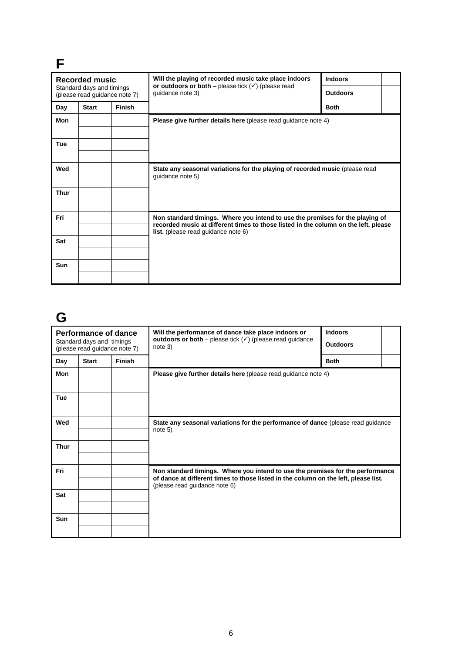| <b>Recorded music</b> |                           |                               | Will the playing of recorded music take place indoors                                                                             | <b>Indoors</b>  |  |
|-----------------------|---------------------------|-------------------------------|-----------------------------------------------------------------------------------------------------------------------------------|-----------------|--|
|                       | Standard days and timings | (please read guidance note 7) | or outdoors or both – please tick $(\checkmark)$ (please read<br>quidance note 3)                                                 | <b>Outdoors</b> |  |
| Day                   | <b>Start</b>              | <b>Finish</b>                 |                                                                                                                                   | <b>Both</b>     |  |
| Mon                   |                           |                               | Please give further details here (please read guidance note 4)                                                                    |                 |  |
|                       |                           |                               |                                                                                                                                   |                 |  |
| <b>Tue</b>            |                           |                               |                                                                                                                                   |                 |  |
|                       |                           |                               |                                                                                                                                   |                 |  |
| Wed                   |                           |                               | State any seasonal variations for the playing of recorded music (please read<br>quidance note 5)                                  |                 |  |
| <b>Thur</b>           |                           |                               |                                                                                                                                   |                 |  |
|                       |                           |                               |                                                                                                                                   |                 |  |
| Fri                   |                           |                               | Non standard timings. Where you intend to use the premises for the playing of                                                     |                 |  |
|                       |                           |                               | recorded music at different times to those listed in the column on the left, please<br><b>list.</b> (please read guidance note 6) |                 |  |
| Sat                   |                           |                               |                                                                                                                                   |                 |  |
|                       |                           |                               |                                                                                                                                   |                 |  |
| Sun                   |                           |                               |                                                                                                                                   |                 |  |
|                       |                           |                               |                                                                                                                                   |                 |  |

### **G**

|                                                            | Performance of dance |               | Will the performance of dance take place indoors or<br>outdoors or both – please tick $(v)$ (please read guidance                                                                                      | <b>Indoors</b>  |  |
|------------------------------------------------------------|----------------------|---------------|--------------------------------------------------------------------------------------------------------------------------------------------------------------------------------------------------------|-----------------|--|
| Standard days and timings<br>(please read guidance note 7) |                      |               | note 3)                                                                                                                                                                                                | <b>Outdoors</b> |  |
| Day                                                        | <b>Start</b>         | <b>Finish</b> |                                                                                                                                                                                                        | <b>Both</b>     |  |
| <b>Mon</b>                                                 |                      |               | Please give further details here (please read guidance note 4)                                                                                                                                         |                 |  |
| <b>Tue</b>                                                 |                      |               |                                                                                                                                                                                                        |                 |  |
| Wed                                                        |                      |               | State any seasonal variations for the performance of dance (please read guidance<br>note 5)                                                                                                            |                 |  |
| <b>Thur</b>                                                |                      |               |                                                                                                                                                                                                        |                 |  |
| Fri                                                        |                      |               | Non standard timings. Where you intend to use the premises for the performance<br>of dance at different times to those listed in the column on the left, please list.<br>(please read guidance note 6) |                 |  |
| Sat                                                        |                      |               |                                                                                                                                                                                                        |                 |  |
| Sun                                                        |                      |               |                                                                                                                                                                                                        |                 |  |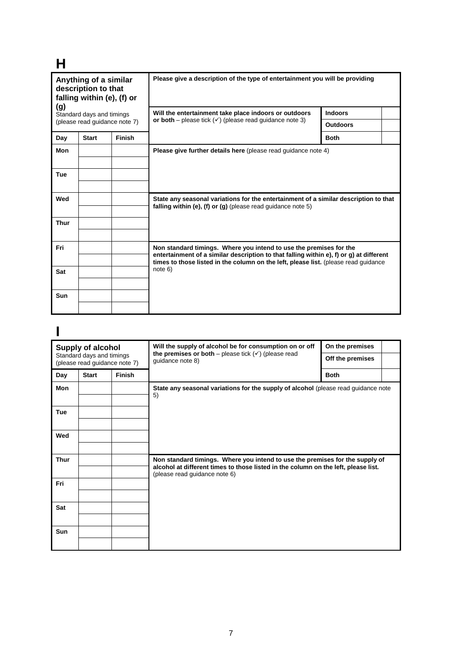# **H**

| Anything of a similar<br>description to that<br>falling within (e), (f) or<br>(g)<br>Standard days and timings<br>(please read guidance note 7) |              |        | Please give a description of the type of entertainment you will be providing                                                                                                                                                                         |                 |  |  |
|-------------------------------------------------------------------------------------------------------------------------------------------------|--------------|--------|------------------------------------------------------------------------------------------------------------------------------------------------------------------------------------------------------------------------------------------------------|-----------------|--|--|
|                                                                                                                                                 |              |        | Will the entertainment take place indoors or outdoors<br>or both – please tick $(\checkmark)$ (please read quidance note 3)                                                                                                                          | <b>Indoors</b>  |  |  |
|                                                                                                                                                 |              |        |                                                                                                                                                                                                                                                      | <b>Outdoors</b> |  |  |
| Day                                                                                                                                             | <b>Start</b> | Finish |                                                                                                                                                                                                                                                      | <b>Both</b>     |  |  |
| Mon                                                                                                                                             |              |        | Please give further details here (please read guidance note 4)                                                                                                                                                                                       |                 |  |  |
| Tue                                                                                                                                             |              |        |                                                                                                                                                                                                                                                      |                 |  |  |
| Wed                                                                                                                                             |              |        | State any seasonal variations for the entertainment of a similar description to that<br>falling within (e), (f) or (g) (please read guidance note $5$ )                                                                                              |                 |  |  |
| Thur                                                                                                                                            |              |        |                                                                                                                                                                                                                                                      |                 |  |  |
| Fri                                                                                                                                             |              |        | Non standard timings. Where you intend to use the premises for the<br>entertainment of a similar description to that falling within e), f) or g) at different<br>times to those listed in the column on the left, please list. (please read quidance |                 |  |  |
| Sat                                                                                                                                             |              |        | note 6)                                                                                                                                                                                                                                              |                 |  |  |
| Sun                                                                                                                                             |              |        |                                                                                                                                                                                                                                                      |                 |  |  |

## **I**

| <b>Supply of alcohol</b><br>Standard days and timings<br>(please read guidance note 7) |              |               | Will the supply of alcohol be for consumption on or off<br>the premises or both – please tick $(\checkmark)$ (please read<br>guidance note 8)                                                       | On the premises<br>Off the premises |  |
|----------------------------------------------------------------------------------------|--------------|---------------|-----------------------------------------------------------------------------------------------------------------------------------------------------------------------------------------------------|-------------------------------------|--|
| Day                                                                                    | <b>Start</b> | <b>Finish</b> |                                                                                                                                                                                                     | <b>Both</b>                         |  |
| Mon                                                                                    |              |               | State any seasonal variations for the supply of alcohol (please read guidance note<br>5)                                                                                                            |                                     |  |
| Tue                                                                                    |              |               |                                                                                                                                                                                                     |                                     |  |
| Wed                                                                                    |              |               |                                                                                                                                                                                                     |                                     |  |
| <b>Thur</b>                                                                            |              |               | Non standard timings. Where you intend to use the premises for the supply of<br>alcohol at different times to those listed in the column on the left, please list.<br>(please read guidance note 6) |                                     |  |
| Fri                                                                                    |              |               |                                                                                                                                                                                                     |                                     |  |
| Sat                                                                                    |              |               |                                                                                                                                                                                                     |                                     |  |
| <b>Sun</b>                                                                             |              |               |                                                                                                                                                                                                     |                                     |  |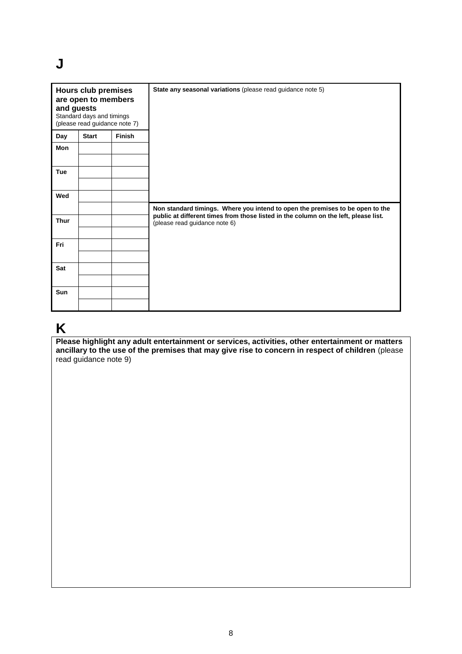### **J**

| <b>Hours club premises</b><br>are open to members<br>and guests<br>Standard days and timings<br>(please read guidance note 7) |              |               | State any seasonal variations (please read guidance note 5)                                                          |
|-------------------------------------------------------------------------------------------------------------------------------|--------------|---------------|----------------------------------------------------------------------------------------------------------------------|
| Day                                                                                                                           | <b>Start</b> | <b>Finish</b> |                                                                                                                      |
| Mon                                                                                                                           |              |               |                                                                                                                      |
| <b>Tue</b>                                                                                                                    |              |               |                                                                                                                      |
| Wed                                                                                                                           |              |               |                                                                                                                      |
|                                                                                                                               |              |               | Non standard timings. Where you intend to open the premises to be open to the                                        |
| <b>Thur</b>                                                                                                                   |              |               | public at different times from those listed in the column on the left, please list.<br>(please read guidance note 6) |
| Fri                                                                                                                           |              |               |                                                                                                                      |
| Sat                                                                                                                           |              |               |                                                                                                                      |
|                                                                                                                               |              |               |                                                                                                                      |
| Sun                                                                                                                           |              |               |                                                                                                                      |
|                                                                                                                               |              |               |                                                                                                                      |

### **K**

**Please highlight any adult entertainment or services, activities, other entertainment or matters ancillary to the use of the premises that may give rise to concern in respect of children** (please read guidance note 9)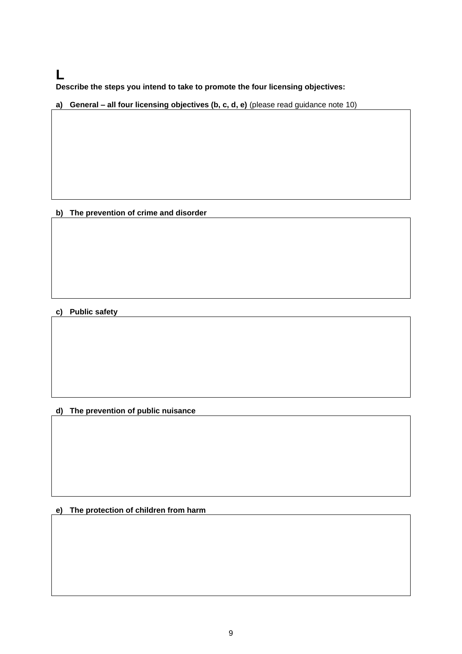### **L**

**Describe the steps you intend to take to promote the four licensing objectives:**

**a) General – all four licensing objectives (b, c, d, e)** (please read guidance note 10)

#### **b) The prevention of crime and disorder**

#### **c) Public safety**

### **d) The prevention of public nuisance**

**e) The protection of children from harm**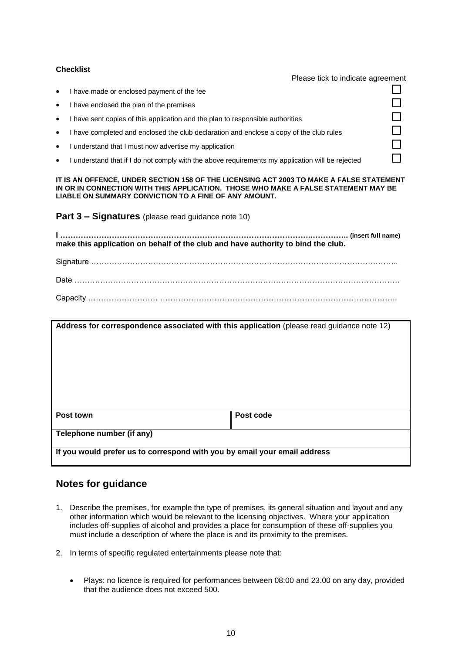#### **Checklist**

Please tick to indicate agreement

- I have made or enclosed payment of the fee
- I have enclosed the plan of the premises  $\Box$
- I have sent copies of this application and the plan to responsible authorities
- I have completed and enclosed the club declaration and enclose a copy of the club rules
- I understand that I must now advertise my application
- I understand that if I do not comply with the above requirements my application will be rejected

**IT IS AN OFFENCE, UNDER SECTION 158 OF THE LICENSING ACT 2003 TO MAKE A FALSE STATEMENT IN OR IN CONNECTION WITH THIS APPLICATION. THOSE WHO MAKE A FALSE STATEMENT MAY BE LIABLE ON SUMMARY CONVICTION TO A FINE OF ANY AMOUNT.**

**Part 3 – Signatures** (please read guidance note 10)

**I ……………………………………………………………………………………..………….. (insert full name) make this application on behalf of the club and have authority to bind the club.**

Signature ……………………………………………………………………………………………………….. Date ……………………………………………………………………………………………………………… Capacity ……………………… ………………………………………………………………………………..

| Address for correspondence associated with this application (please read guidance note 12) |           |  |  |  |
|--------------------------------------------------------------------------------------------|-----------|--|--|--|
|                                                                                            |           |  |  |  |
|                                                                                            |           |  |  |  |
|                                                                                            |           |  |  |  |
|                                                                                            |           |  |  |  |
| Post town                                                                                  | Post code |  |  |  |
| Telephone number (if any)                                                                  |           |  |  |  |
| If you would prefer us to correspond with you by email your email address                  |           |  |  |  |

#### **Notes for guidance**

- 1. Describe the premises, for example the type of premises, its general situation and layout and any other information which would be relevant to the licensing objectives. Where your application includes off-supplies of alcohol and provides a place for consumption of these off-supplies you must include a description of where the place is and its proximity to the premises.
- 2. In terms of specific regulated entertainments please note that:
	- Plays: no licence is required for performances between 08:00 and 23.00 on any day, provided that the audience does not exceed 500.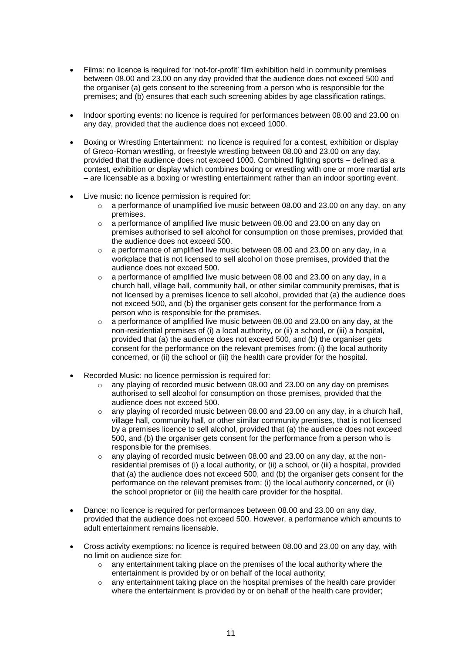- Films: no licence is required for 'not-for-profit' film exhibition held in community premises between 08.00 and 23.00 on any day provided that the audience does not exceed 500 and the organiser (a) gets consent to the screening from a person who is responsible for the premises; and (b) ensures that each such screening abides by age classification ratings.
- Indoor sporting events: no licence is required for performances between 08.00 and 23.00 on any day, provided that the audience does not exceed 1000.
- Boxing or Wrestling Entertainment: no licence is required for a contest, exhibition or display of Greco-Roman wrestling, or freestyle wrestling between 08.00 and 23.00 on any day, provided that the audience does not exceed 1000. Combined fighting sports – defined as a contest, exhibition or display which combines boxing or wrestling with one or more martial arts – are licensable as a boxing or wrestling entertainment rather than an indoor sporting event.
- Live music: no licence permission is required for:
	- $\circ$  a performance of unamplified live music between 08.00 and 23.00 on any day, on any premises.
	- o a performance of amplified live music between 08.00 and 23.00 on any day on premises authorised to sell alcohol for consumption on those premises, provided that the audience does not exceed 500.
	- o a performance of amplified live music between 08.00 and 23.00 on any day, in a workplace that is not licensed to sell alcohol on those premises, provided that the audience does not exceed 500.
	- o a performance of amplified live music between 08.00 and 23.00 on any day, in a church hall, village hall, community hall, or other similar community premises, that is not licensed by a premises licence to sell alcohol, provided that (a) the audience does not exceed 500, and (b) the organiser gets consent for the performance from a person who is responsible for the premises.
	- $\circ$  a performance of amplified live music between 08.00 and 23.00 on any day, at the non-residential premises of (i) a local authority, or (ii) a school, or (iii) a hospital, provided that (a) the audience does not exceed 500, and (b) the organiser gets consent for the performance on the relevant premises from: (i) the local authority concerned, or (ii) the school or (iii) the health care provider for the hospital.
- Recorded Music: no licence permission is required for:
	- $\circ$  any playing of recorded music between 08.00 and 23.00 on any day on premises authorised to sell alcohol for consumption on those premises, provided that the audience does not exceed 500.
	- $\circ$  any playing of recorded music between 08.00 and 23.00 on any day, in a church hall, village hall, community hall, or other similar community premises, that is not licensed by a premises licence to sell alcohol, provided that (a) the audience does not exceed 500, and (b) the organiser gets consent for the performance from a person who is responsible for the premises.
	- $\circ$  any playing of recorded music between 08.00 and 23.00 on any day, at the nonresidential premises of (i) a local authority, or (ii) a school, or (iii) a hospital, provided that (a) the audience does not exceed 500, and (b) the organiser gets consent for the performance on the relevant premises from: (i) the local authority concerned, or (ii) the school proprietor or (iii) the health care provider for the hospital.
- Dance: no licence is required for performances between 08.00 and 23.00 on any day, provided that the audience does not exceed 500. However, a performance which amounts to adult entertainment remains licensable.
- Cross activity exemptions: no licence is required between 08.00 and 23.00 on any day, with no limit on audience size for:
	- any entertainment taking place on the premises of the local authority where the entertainment is provided by or on behalf of the local authority;
	- o any entertainment taking place on the hospital premises of the health care provider where the entertainment is provided by or on behalf of the health care provider;